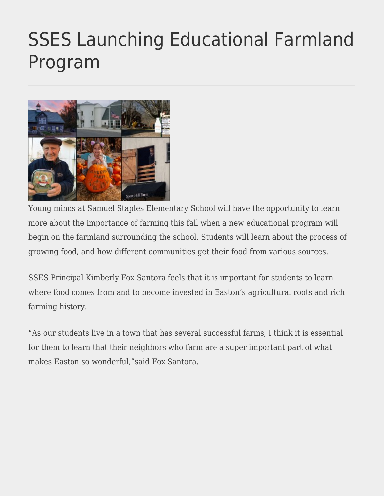## [SSES Launching Educational Farmland](https://eastoncourier.news/2022/06/20/sses-launching-educational-farmland-program/) [Program](https://eastoncourier.news/2022/06/20/sses-launching-educational-farmland-program/)



Young minds at Samuel Staples Elementary School will have the opportunity to learn more about the importance of farming this fall when a new educational program will begin on the farmland surrounding the school. Students will learn about the process of growing food, and how different communities get their food from various sources.

SSES Principal Kimberly Fox Santora feels that it is important for students to learn where food comes from and to become invested in Easton's agricultural roots and rich farming history.

"As our students live in a town that has several successful farms, I think it is essential for them to learn that their neighbors who farm are a super important part of what makes Easton so wonderful,"said Fox Santora.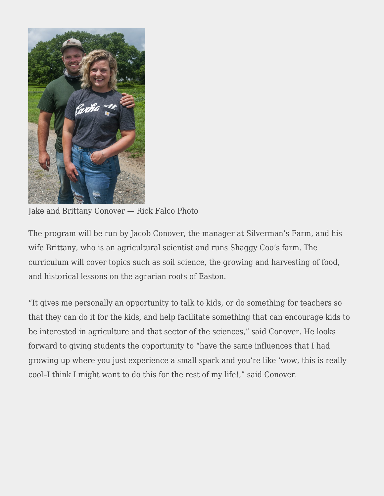

Jake and Brittany Conover — Rick Falco Photo

The program will be run by Jacob Conover, the manager at Silverman's Farm, and his wife Brittany, who is an agricultural scientist and runs Shaggy Coo's farm. The curriculum will cover topics such as soil science, the growing and harvesting of food, and historical lessons on the agrarian roots of Easton.

"It gives me personally an opportunity to talk to kids, or do something for teachers so that they can do it for the kids, and help facilitate something that can encourage kids to be interested in agriculture and that sector of the sciences," said Conover. He looks forward to giving students the opportunity to "have the same influences that I had growing up where you just experience a small spark and you're like 'wow, this is really cool–I think I might want to do this for the rest of my life!," said Conover.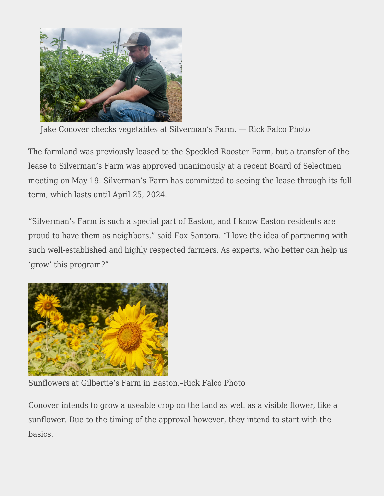

Jake Conover checks vegetables at Silverman's Farm. — Rick Falco Photo

The farmland was previously leased to the Speckled Rooster Farm, but a transfer of the lease to Silverman's Farm was approved unanimously at a recent Board of Selectmen meeting on May 19. Silverman's Farm has committed to seeing the lease through its full term, which lasts until April 25, 2024.

"Silverman's Farm is such a special part of Easton, and I know Easton residents are proud to have them as neighbors," said Fox Santora. "I love the idea of partnering with such well-established and highly respected farmers. As experts, who better can help us 'grow' this program?"



Sunflowers at Gilbertie's Farm in Easton.–Rick Falco Photo

Conover intends to grow a useable crop on the land as well as a visible flower, like a sunflower. Due to the timing of the approval however, they intend to start with the basics.